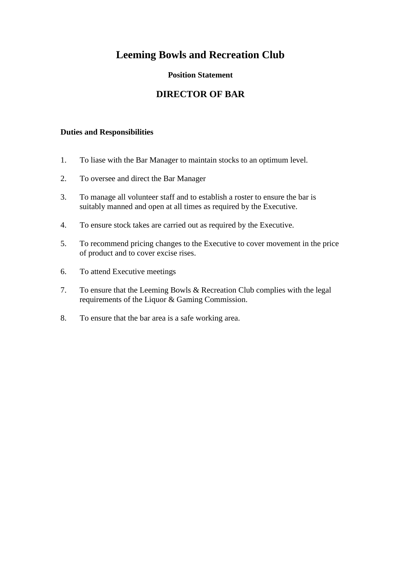### **Position Statement**

## **DIRECTOR OF BAR**

- 1. To liase with the Bar Manager to maintain stocks to an optimum level.
- 2. To oversee and direct the Bar Manager
- 3. To manage all volunteer staff and to establish a roster to ensure the bar is suitably manned and open at all times as required by the Executive.
- 4. To ensure stock takes are carried out as required by the Executive.
- 5. To recommend pricing changes to the Executive to cover movement in the price of product and to cover excise rises.
- 6. To attend Executive meetings
- 7. To ensure that the Leeming Bowls & Recreation Club complies with the legal requirements of the Liquor & Gaming Commission.
- 8. To ensure that the bar area is a safe working area.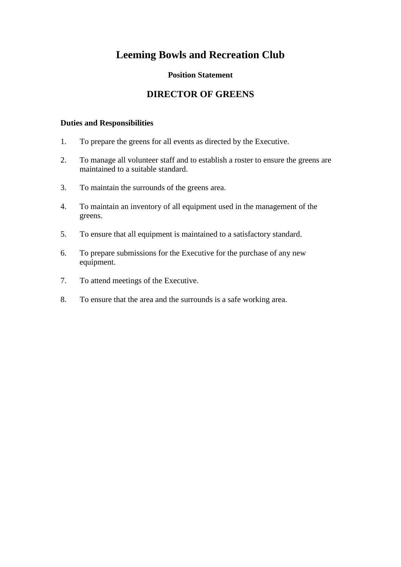### **Position Statement**

## **DIRECTOR OF GREENS**

- 1. To prepare the greens for all events as directed by the Executive.
- 2. To manage all volunteer staff and to establish a roster to ensure the greens are maintained to a suitable standard.
- 3. To maintain the surrounds of the greens area.
- 4. To maintain an inventory of all equipment used in the management of the greens.
- 5. To ensure that all equipment is maintained to a satisfactory standard.
- 6. To prepare submissions for the Executive for the purchase of any new equipment.
- 7. To attend meetings of the Executive.
- 8. To ensure that the area and the surrounds is a safe working area.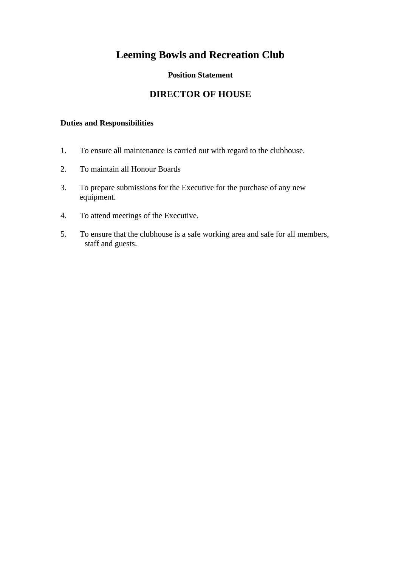### **Position Statement**

## **DIRECTOR OF HOUSE**

- 1. To ensure all maintenance is carried out with regard to the clubhouse.
- 2. To maintain all Honour Boards
- 3. To prepare submissions for the Executive for the purchase of any new equipment.
- 4. To attend meetings of the Executive.
- 5. To ensure that the clubhouse is a safe working area and safe for all members, staff and guests.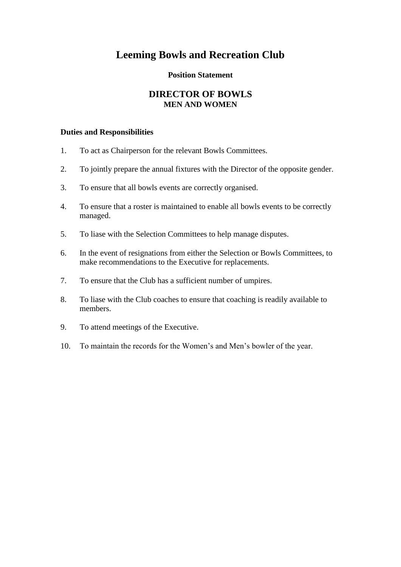#### **Position Statement**

### **DIRECTOR OF BOWLS MEN AND WOMEN**

- 1. To act as Chairperson for the relevant Bowls Committees.
- 2. To jointly prepare the annual fixtures with the Director of the opposite gender.
- 3. To ensure that all bowls events are correctly organised.
- 4. To ensure that a roster is maintained to enable all bowls events to be correctly managed.
- 5. To liase with the Selection Committees to help manage disputes.
- 6. In the event of resignations from either the Selection or Bowls Committees, to make recommendations to the Executive for replacements.
- 7. To ensure that the Club has a sufficient number of umpires.
- 8. To liase with the Club coaches to ensure that coaching is readily available to members.
- 9. To attend meetings of the Executive.
- 10. To maintain the records for the Women's and Men's bowler of the year.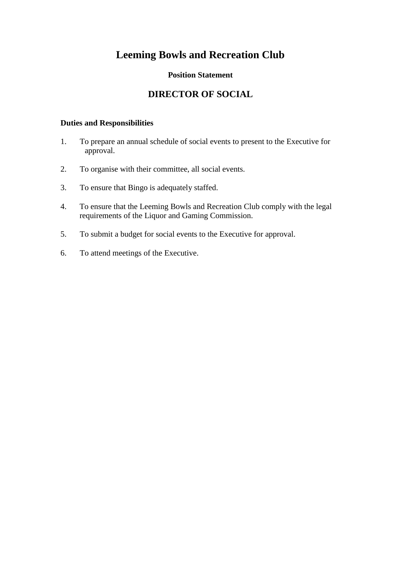### **Position Statement**

## **DIRECTOR OF SOCIAL**

- 1. To prepare an annual schedule of social events to present to the Executive for approval.
- 2. To organise with their committee, all social events.
- 3. To ensure that Bingo is adequately staffed.
- 4. To ensure that the Leeming Bowls and Recreation Club comply with the legal requirements of the Liquor and Gaming Commission.
- 5. To submit a budget for social events to the Executive for approval.
- 6. To attend meetings of the Executive.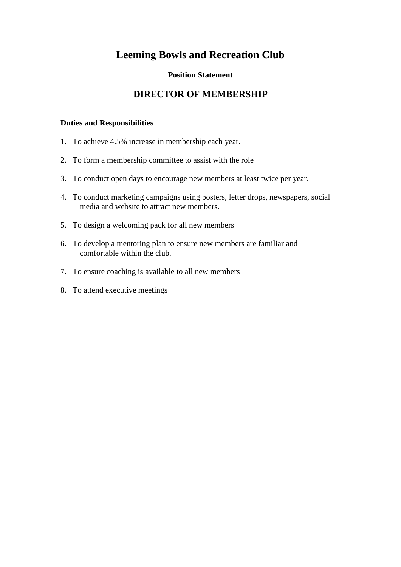### **Position Statement**

## **DIRECTOR OF MEMBERSHIP**

- 1. To achieve 4.5% increase in membership each year.
- 2. To form a membership committee to assist with the role
- 3. To conduct open days to encourage new members at least twice per year.
- 4. To conduct marketing campaigns using posters, letter drops, newspapers, social media and website to attract new members.
- 5. To design a welcoming pack for all new members
- 6. To develop a mentoring plan to ensure new members are familiar and comfortable within the club.
- 7. To ensure coaching is available to all new members
- 8. To attend executive meetings